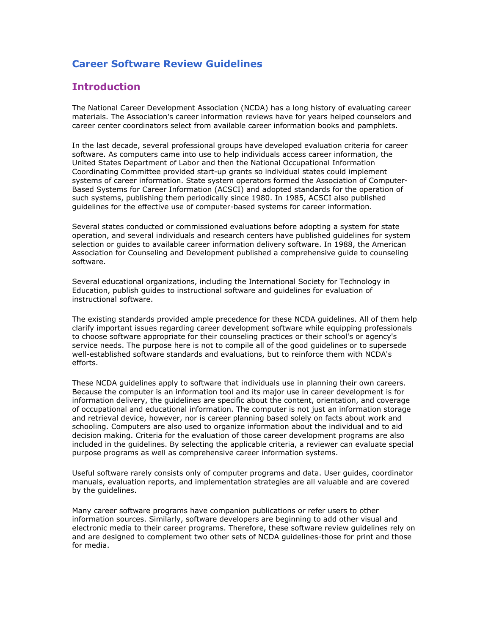## **Career Software Review Guidelines**

## **Introduction**

The National Career Development Association (NCDA) has a long history of evaluating career materials. The Association's career information reviews have for years helped counselors and career center coordinators select from available career information books and pamphlets.

In the last decade, several professional groups have developed evaluation criteria for career software. As computers came into use to help individuals access career information, the United States Department of Labor and then the National Occupational Information Coordinating Committee provided start-up grants so individual states could implement systems of career information. State system operators formed the Association of Computer-Based Systems for Career Information (ACSCI) and adopted standards for the operation of such systems, publishing them periodically since 1980. In 1985, ACSCI also published guidelines for the effective use of computer-based systems for career information.

Several states conducted or commissioned evaluations before adopting a system for state operation, and several individuals and research centers have published guidelines for system selection or guides to available career information delivery software. In 1988, the American Association for Counseling and Development published a comprehensive guide to counseling software.

Several educational organizations, including the International Society for Technology in Education, publish guides to instructional software and guidelines for evaluation of instructional software.

The existing standards provided ample precedence for these NCDA guidelines. All of them help clarify important issues regarding career development software while equipping professionals to choose software appropriate for their counseling practices or their school's or agency's service needs. The purpose here is not to compile all of the good guidelines or to supersede well-established software standards and evaluations, but to reinforce them with NCDA's efforts.

These NCDA guidelines apply to software that individuals use in planning their own careers. Because the computer is an information tool and its major use in career development is for information delivery, the guidelines are specific about the content, orientation, and coverage of occupational and educational information. The computer is not just an information storage and retrieval device, however, nor is career planning based solely on facts about work and schooling. Computers are also used to organize information about the individual and to aid decision making. Criteria for the evaluation of those career development programs are also included in the guidelines. By selecting the applicable criteria, a reviewer can evaluate special purpose programs as well as comprehensive career information systems.

Useful software rarely consists only of computer programs and data. User guides, coordinator manuals, evaluation reports, and implementation strategies are all valuable and are covered by the guidelines.

Many career software programs have companion publications or refer users to other information sources. Similarly, software developers are beginning to add other visual and electronic media to their career programs. Therefore, these software review guidelines rely on and are designed to complement two other sets of NCDA guidelines-those for print and those for media.